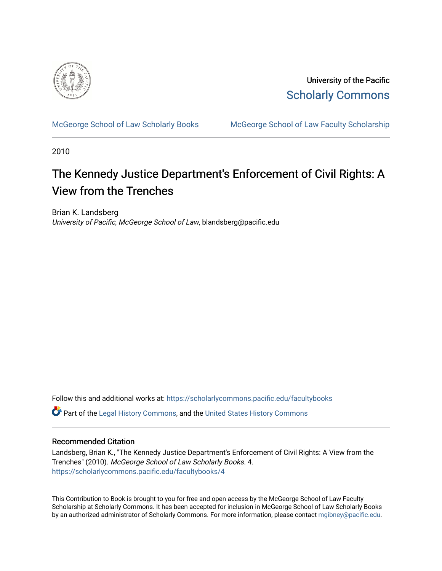

University of the Pacific [Scholarly Commons](https://scholarlycommons.pacific.edu/) 

[McGeorge School of Law Scholarly Books](https://scholarlycommons.pacific.edu/facultybooks) McGeorge School of Law Faculty Scholarship

2010

# The Kennedy Justice Department's Enforcement of Civil Rights: A View from the Trenches

Brian K. Landsberg University of Pacific, McGeorge School of Law, blandsberg@pacific.edu

Follow this and additional works at: [https://scholarlycommons.pacific.edu/facultybooks](https://scholarlycommons.pacific.edu/facultybooks?utm_source=scholarlycommons.pacific.edu%2Ffacultybooks%2F4&utm_medium=PDF&utm_campaign=PDFCoverPages) 

**C** Part of the [Legal History Commons](http://network.bepress.com/hgg/discipline/904?utm_source=scholarlycommons.pacific.edu%2Ffacultybooks%2F4&utm_medium=PDF&utm_campaign=PDFCoverPages), and the United States History Commons

### Recommended Citation

Landsberg, Brian K., "The Kennedy Justice Department's Enforcement of Civil Rights: A View from the Trenches" (2010). McGeorge School of Law Scholarly Books. 4. [https://scholarlycommons.pacific.edu/facultybooks/4](https://scholarlycommons.pacific.edu/facultybooks/4?utm_source=scholarlycommons.pacific.edu%2Ffacultybooks%2F4&utm_medium=PDF&utm_campaign=PDFCoverPages) 

This Contribution to Book is brought to you for free and open access by the McGeorge School of Law Faculty Scholarship at Scholarly Commons. It has been accepted for inclusion in McGeorge School of Law Scholarly Books by an authorized administrator of Scholarly Commons. For more information, please contact [mgibney@pacific.edu](mailto:mgibney@pacific.edu).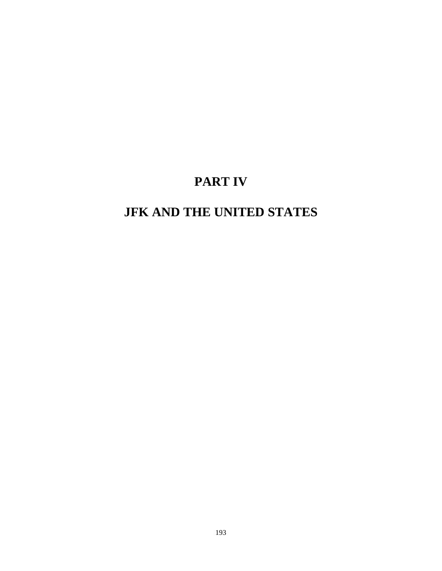# **PART IV**

# **JFK AND THE UNITED STATES**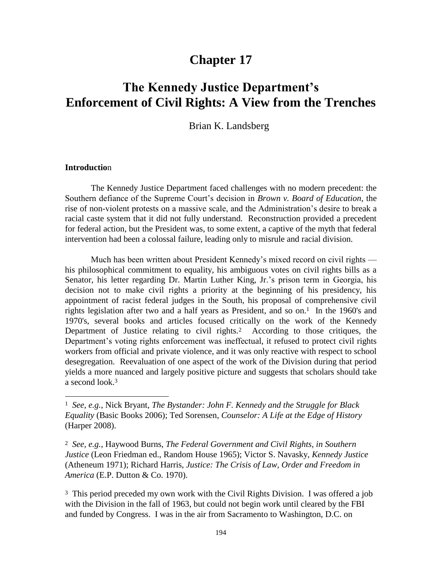# **Chapter 17**

# **The Kennedy Justice Department's Enforcement of Civil Rights: A View from the Trenches**

Brian K. Landsberg

#### **Introductio**n

 $\overline{a}$ 

The Kennedy Justice Department faced challenges with no modern precedent: the Southern defiance of the Supreme Court's decision in *Brown v. Board of Education*, the rise of non-violent protests on a massive scale, and the Administration's desire to break a racial caste system that it did not fully understand. Reconstruction provided a precedent for federal action, but the President was, to some extent, a captive of the myth that federal intervention had been a colossal failure, leading only to misrule and racial division.

Much has been written about President Kennedy's mixed record on civil rights his philosophical commitment to equality, his ambiguous votes on civil rights bills as a Senator, his letter regarding Dr. Martin Luther King, Jr.'s prison term in Georgia, his decision not to make civil rights a priority at the beginning of his presidency, his appointment of racist federal judges in the South, his proposal of comprehensive civil rights legislation after two and a half years as President, and so on.<sup>1</sup> In the 1960's and 1970's, several books and articles focused critically on the work of the Kennedy Department of Justice relating to civil rights.2 According to those critiques, the Department's voting rights enforcement was ineffectual, it refused to protect civil rights workers from official and private violence, and it was only reactive with respect to school desegregation. Reevaluation of one aspect of the work of the Division during that period yields a more nuanced and largely positive picture and suggests that scholars should take a second look.<sup>3</sup>

<sup>2</sup> *See, e.g.*, Haywood Burns, *The Federal Government and Civil Rights*, *in Southern Justice* (Leon Friedman ed., Random House 1965); Victor S. Navasky, *Kennedy Justice* (Atheneum 1971); Richard Harris, *Justice: The Crisis of Law, Order and Freedom in America* (E.P. Dutton & Co. 1970).

<sup>3</sup> This period preceded my own work with the Civil Rights Division. I was offered a job with the Division in the fall of 1963, but could not begin work until cleared by the FBI and funded by Congress. I was in the air from Sacramento to Washington, D.C. on

<sup>1</sup> *See, e.g.*, Nick Bryant, *The Bystander: John F. Kennedy and the Struggle for Black Equality* (Basic Books 2006); Ted Sorensen, *Counselor: A Life at the Edge of History* (Harper 2008).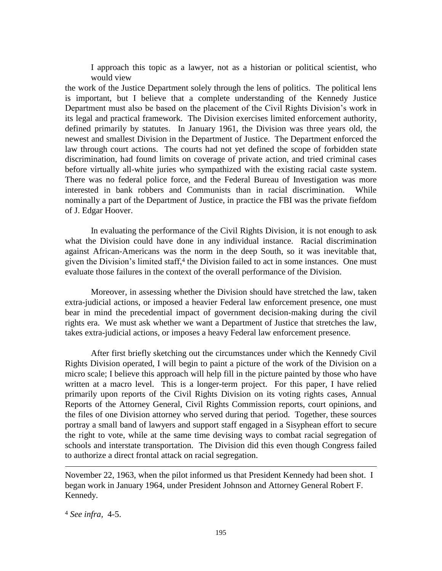I approach this topic as a lawyer, not as a historian or political scientist, who would view

the work of the Justice Department solely through the lens of politics. The political lens is important, but I believe that a complete understanding of the Kennedy Justice Department must also be based on the placement of the Civil Rights Division's work in its legal and practical framework. The Division exercises limited enforcement authority, defined primarily by statutes. In January 1961, the Division was three years old, the newest and smallest Division in the Department of Justice. The Department enforced the law through court actions. The courts had not yet defined the scope of forbidden state discrimination, had found limits on coverage of private action, and tried criminal cases before virtually all-white juries who sympathized with the existing racial caste system. There was no federal police force, and the Federal Bureau of Investigation was more interested in bank robbers and Communists than in racial discrimination. While nominally a part of the Department of Justice, in practice the FBI was the private fiefdom of J. Edgar Hoover.

In evaluating the performance of the Civil Rights Division, it is not enough to ask what the Division could have done in any individual instance. Racial discrimination against African-Americans was the norm in the deep South, so it was inevitable that, given the Division's limited staff,<sup>4</sup> the Division failed to act in some instances. One must evaluate those failures in the context of the overall performance of the Division.

Moreover, in assessing whether the Division should have stretched the law, taken extra-judicial actions, or imposed a heavier Federal law enforcement presence, one must bear in mind the precedential impact of government decision-making during the civil rights era. We must ask whether we want a Department of Justice that stretches the law, takes extra-judicial actions, or imposes a heavy Federal law enforcement presence.

After first briefly sketching out the circumstances under which the Kennedy Civil Rights Division operated, I will begin to paint a picture of the work of the Division on a micro scale; I believe this approach will help fill in the picture painted by those who have written at a macro level. This is a longer-term project. For this paper, I have relied primarily upon reports of the Civil Rights Division on its voting rights cases, Annual Reports of the Attorney General, Civil Rights Commission reports, court opinions, and the files of one Division attorney who served during that period. Together, these sources portray a small band of lawyers and support staff engaged in a Sisyphean effort to secure the right to vote, while at the same time devising ways to combat racial segregation of schools and interstate transportation. The Division did this even though Congress failed to authorize a direct frontal attack on racial segregation.

November 22, 1963, when the pilot informed us that President Kennedy had been shot. I began work in January 1964, under President Johnson and Attorney General Robert F. Kennedy.

<sup>4</sup> *See infra,* 4-5.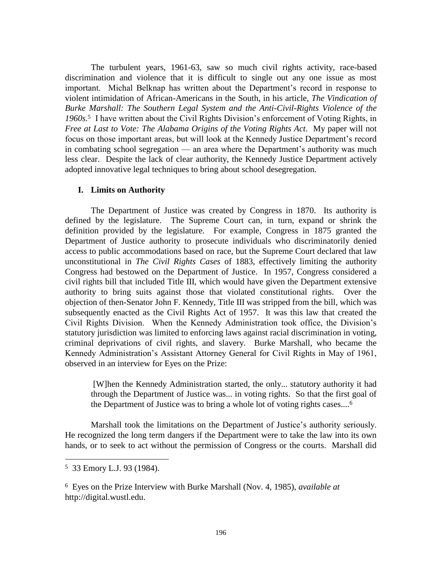The turbulent years, 1961-63, saw so much civil rights activity, race-based discrimination and violence that it is difficult to single out any one issue as most important. Michal Belknap has written about the Department's record in response to violent intimidation of African-Americans in the South, in his article, *The Vindication of Burke Marshall: The Southern Legal System and the Anti-Civil-Rights Violence of the 1960s.*5 I have written about the Civil Rights Division's enforcement of Voting Rights, in *Free at Last to Vote: The Alabama Origins of the Voting Rights Act*. My paper will not focus on those important areas, but will look at the Kennedy Justice Department's record in combating school segregation — an area where the Department's authority was much less clear. Despite the lack of clear authority, the Kennedy Justice Department actively adopted innovative legal techniques to bring about school desegregation.

#### **I. Limits on Authority**

The Department of Justice was created by Congress in 1870. Its authority is defined by the legislature. The Supreme Court can, in turn, expand or shrink the definition provided by the legislature. For example, Congress in 1875 granted the Department of Justice authority to prosecute individuals who discriminatorily denied access to public accommodations based on race, but the Supreme Court declared that law unconstitutional in *The Civil Rights Cases* of 1883, effectively limiting the authority Congress had bestowed on the Department of Justice. In 1957, Congress considered a civil rights bill that included Title III, which would have given the Department extensive authority to bring suits against those that violated constitutional rights. Over the objection of then-Senator John F. Kennedy, Title III was stripped from the bill, which was subsequently enacted as the Civil Rights Act of 1957. It was this law that created the Civil Rights Division. When the Kennedy Administration took office, the Division's statutory jurisdiction was limited to enforcing laws against racial discrimination in voting, criminal deprivations of civil rights, and slavery. Burke Marshall, who became the Kennedy Administration's Assistant Attorney General for Civil Rights in May of 1961, observed in an interview for Eyes on the Prize:

[W]hen the Kennedy Administration started, the only... statutory authority it had through the Department of Justice was... in voting rights. So that the first goal of the Department of Justice was to bring a whole lot of voting rights cases....<sup>6</sup>

Marshall took the limitations on the Department of Justice's authority seriously. He recognized the long term dangers if the Department were to take the law into its own hands, or to seek to act without the permission of Congress or the courts. Marshall did

<sup>5</sup> 33 Emory L.J. 93 (1984).

<sup>6</sup> Eyes on the Prize Interview with Burke Marshall (Nov. 4, 1985), *available at*  http://digital.wustl.edu.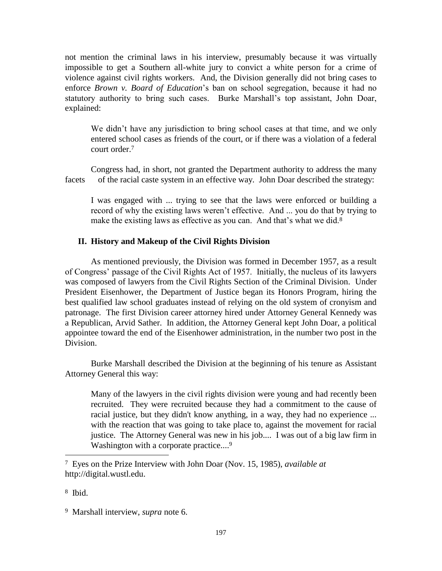not mention the criminal laws in his interview, presumably because it was virtually impossible to get a Southern all-white jury to convict a white person for a crime of violence against civil rights workers. And, the Division generally did not bring cases to enforce *Brown v. Board of Education*'s ban on school segregation, because it had no statutory authority to bring such cases. Burke Marshall's top assistant, John Doar, explained:

We didn't have any jurisdiction to bring school cases at that time, and we only entered school cases as friends of the court, or if there was a violation of a federal court order.<sup>7</sup>

Congress had, in short, not granted the Department authority to address the many facets of the racial caste system in an effective way. John Doar described the strategy:

I was engaged with ... trying to see that the laws were enforced or building a record of why the existing laws weren't effective. And ... you do that by trying to make the existing laws as effective as you can. And that's what we did.<sup>8</sup>

### **II. History and Makeup of the Civil Rights Division**

As mentioned previously, the Division was formed in December 1957, as a result of Congress' passage of the Civil Rights Act of 1957. Initially, the nucleus of its lawyers was composed of lawyers from the Civil Rights Section of the Criminal Division. Under President Eisenhower, the Department of Justice began its Honors Program, hiring the best qualified law school graduates instead of relying on the old system of cronyism and patronage. The first Division career attorney hired under Attorney General Kennedy was a Republican, Arvid Sather. In addition, the Attorney General kept John Doar, a political appointee toward the end of the Eisenhower administration, in the number two post in the Division.

Burke Marshall described the Division at the beginning of his tenure as Assistant Attorney General this way:

Many of the lawyers in the civil rights division were young and had recently been recruited. They were recruited because they had a commitment to the cause of racial justice, but they didn't know anything, in a way, they had no experience ... with the reaction that was going to take place to, against the movement for racial justice. The Attorney General was new in his job.... I was out of a big law firm in Washington with a corporate practice....<sup>9</sup>

<sup>7</sup> Eyes on the Prize Interview with John Doar (Nov. 15, 1985), *available at*  http://digital.wustl.edu.

<sup>8</sup> Ibid.

<sup>9</sup> Marshall interview, *supra* note 6.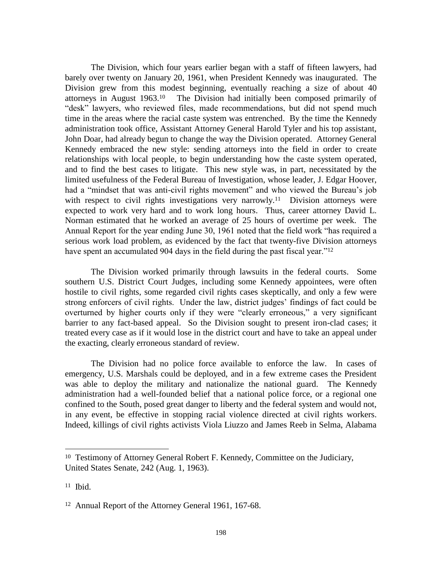The Division, which four years earlier began with a staff of fifteen lawyers, had barely over twenty on January 20, 1961, when President Kennedy was inaugurated. The Division grew from this modest beginning, eventually reaching a size of about 40 attorneys in August 1963.10 The Division had initially been composed primarily of "desk" lawyers, who reviewed files, made recommendations, but did not spend much time in the areas where the racial caste system was entrenched. By the time the Kennedy administration took office, Assistant Attorney General Harold Tyler and his top assistant, John Doar, had already begun to change the way the Division operated. Attorney General Kennedy embraced the new style: sending attorneys into the field in order to create relationships with local people, to begin understanding how the caste system operated, and to find the best cases to litigate. This new style was, in part, necessitated by the limited usefulness of the Federal Bureau of Investigation, whose leader, J. Edgar Hoover, had a "mindset that was anti-civil rights movement" and who viewed the Bureau's job with respect to civil rights investigations very narrowly.<sup>11</sup> Division attorneys were expected to work very hard and to work long hours. Thus, career attorney David L. Norman estimated that he worked an average of 25 hours of overtime per week. The Annual Report for the year ending June 30, 1961 noted that the field work "has required a serious work load problem, as evidenced by the fact that twenty-five Division attorneys have spent an accumulated 904 days in the field during the past fiscal year."<sup>12</sup>

The Division worked primarily through lawsuits in the federal courts. Some southern U.S. District Court Judges, including some Kennedy appointees, were often hostile to civil rights, some regarded civil rights cases skeptically, and only a few were strong enforcers of civil rights. Under the law, district judges' findings of fact could be overturned by higher courts only if they were "clearly erroneous," a very significant barrier to any fact-based appeal. So the Division sought to present iron-clad cases; it treated every case as if it would lose in the district court and have to take an appeal under the exacting, clearly erroneous standard of review.

The Division had no police force available to enforce the law. In cases of emergency, U.S. Marshals could be deployed, and in a few extreme cases the President was able to deploy the military and nationalize the national guard. The Kennedy administration had a well-founded belief that a national police force, or a regional one confined to the South, posed great danger to liberty and the federal system and would not, in any event, be effective in stopping racial violence directed at civil rights workers. Indeed, killings of civil rights activists Viola Liuzzo and James Reeb in Selma, Alabama

<sup>10</sup> Testimony of Attorney General Robert F. Kennedy, Committee on the Judiciary, United States Senate, 242 (Aug. 1, 1963).

<sup>11</sup> Ibid.

<sup>12</sup> Annual Report of the Attorney General 1961, 167-68.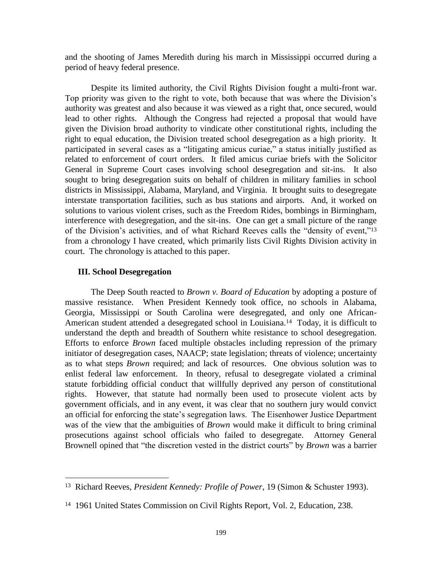and the shooting of James Meredith during his march in Mississippi occurred during a period of heavy federal presence.

Despite its limited authority, the Civil Rights Division fought a multi-front war. Top priority was given to the right to vote, both because that was where the Division's authority was greatest and also because it was viewed as a right that, once secured, would lead to other rights. Although the Congress had rejected a proposal that would have given the Division broad authority to vindicate other constitutional rights, including the right to equal education, the Division treated school desegregation as a high priority. It participated in several cases as a "litigating amicus curiae," a status initially justified as related to enforcement of court orders. It filed amicus curiae briefs with the Solicitor General in Supreme Court cases involving school desegregation and sit-ins. It also sought to bring desegregation suits on behalf of children in military families in school districts in Mississippi, Alabama, Maryland, and Virginia. It brought suits to desegregate interstate transportation facilities, such as bus stations and airports. And, it worked on solutions to various violent crises, such as the Freedom Rides, bombings in Birmingham, interference with desegregation, and the sit-ins. One can get a small picture of the range of the Division's activities, and of what Richard Reeves calls the "density of event,"<sup>13</sup> from a chronology I have created, which primarily lists Civil Rights Division activity in court. The chronology is attached to this paper.

#### **III. School Desegregation**

 $\overline{a}$ 

The Deep South reacted to *Brown v. Board of Education* by adopting a posture of massive resistance. When President Kennedy took office, no schools in Alabama, Georgia, Mississippi or South Carolina were desegregated, and only one African-American student attended a desegregated school in Louisiana.14 Today, it is difficult to understand the depth and breadth of Southern white resistance to school desegregation. Efforts to enforce *Brown* faced multiple obstacles including repression of the primary initiator of desegregation cases, NAACP; state legislation; threats of violence; uncertainty as to what steps *Brown* required; and lack of resources. One obvious solution was to enlist federal law enforcement. In theory, refusal to desegregate violated a criminal statute forbidding official conduct that willfully deprived any person of constitutional rights. However, that statute had normally been used to prosecute violent acts by government officials, and in any event, it was clear that no southern jury would convict an official for enforcing the state's segregation laws. The Eisenhower Justice Department was of the view that the ambiguities of *Brown* would make it difficult to bring criminal prosecutions against school officials who failed to desegregate. Attorney General Brownell opined that "the discretion vested in the district courts" by *Brown* was a barrier

<sup>13</sup> Richard Reeves, *President Kennedy: Profile of Power*, 19 (Simon & Schuster 1993).

<sup>14</sup> 1961 United States Commission on Civil Rights Report, Vol. 2, Education, 238.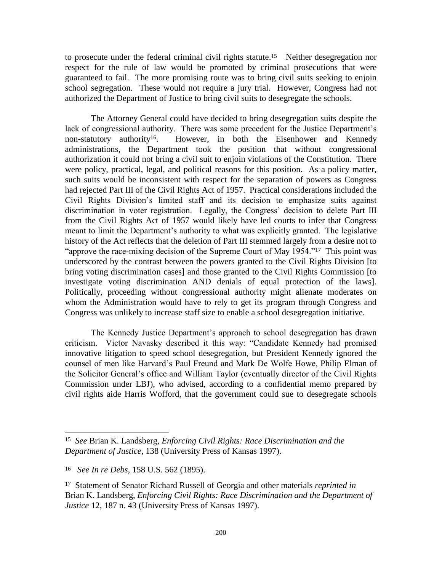to prosecute under the federal criminal civil rights statute.<sup>15</sup> Neither desegregation nor respect for the rule of law would be promoted by criminal prosecutions that were guaranteed to fail. The more promising route was to bring civil suits seeking to enjoin school segregation. These would not require a jury trial. However, Congress had not authorized the Department of Justice to bring civil suits to desegregate the schools.

The Attorney General could have decided to bring desegregation suits despite the lack of congressional authority. There was some precedent for the Justice Department's non-statutory authority16. However, in both the Eisenhower and Kennedy administrations, the Department took the position that without congressional authorization it could not bring a civil suit to enjoin violations of the Constitution. There were policy, practical, legal, and political reasons for this position. As a policy matter, such suits would be inconsistent with respect for the separation of powers as Congress had rejected Part III of the Civil Rights Act of 1957. Practical considerations included the Civil Rights Division's limited staff and its decision to emphasize suits against discrimination in voter registration. Legally, the Congress' decision to delete Part III from the Civil Rights Act of 1957 would likely have led courts to infer that Congress meant to limit the Department's authority to what was explicitly granted. The legislative history of the Act reflects that the deletion of Part III stemmed largely from a desire not to "approve the race-mixing decision of the Supreme Court of May 1954."17 This point was underscored by the contrast between the powers granted to the Civil Rights Division [to bring voting discrimination cases] and those granted to the Civil Rights Commission [to investigate voting discrimination AND denials of equal protection of the laws]. Politically, proceeding without congressional authority might alienate moderates on whom the Administration would have to rely to get its program through Congress and Congress was unlikely to increase staff size to enable a school desegregation initiative.

The Kennedy Justice Department's approach to school desegregation has drawn criticism. Victor Navasky described it this way: "Candidate Kennedy had promised innovative litigation to speed school desegregation, but President Kennedy ignored the counsel of men like Harvard's Paul Freund and Mark De Wolfe Howe, Philip Elman of the Solicitor General's office and William Taylor (eventually director of the Civil Rights Commission under LBJ), who advised, according to a confidential memo prepared by civil rights aide Harris Wofford, that the government could sue to desegregate schools

<sup>15</sup> *See* Brian K. Landsberg, *Enforcing Civil Rights: Race Discrimination and the Department of Justice*, 138 (University Press of Kansas 1997).

<sup>16</sup> *See In re Debs*, 158 U.S. 562 (1895).

<sup>17</sup> Statement of Senator Richard Russell of Georgia and other materials *reprinted in* Brian K. Landsberg, *Enforcing Civil Rights: Race Discrimination and the Department of Justice* 12, 187 n. 43 (University Press of Kansas 1997).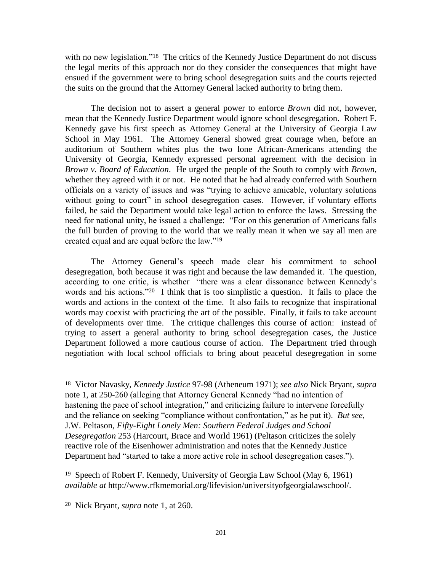with no new legislation."<sup>18</sup> The critics of the Kennedy Justice Department do not discuss the legal merits of this approach nor do they consider the consequences that might have ensued if the government were to bring school desegregation suits and the courts rejected the suits on the ground that the Attorney General lacked authority to bring them.

The decision not to assert a general power to enforce *Brown* did not, however, mean that the Kennedy Justice Department would ignore school desegregation. Robert F. Kennedy gave his first speech as Attorney General at the University of Georgia Law School in May 1961. The Attorney General showed great courage when, before an auditorium of Southern whites plus the two lone African-Americans attending the University of Georgia, Kennedy expressed personal agreement with the decision in *Brown v. Board of Education*. He urged the people of the South to comply with *Brown*, whether they agreed with it or not. He noted that he had already conferred with Southern officials on a variety of issues and was "trying to achieve amicable, voluntary solutions without going to court" in school desegregation cases. However, if voluntary efforts failed, he said the Department would take legal action to enforce the laws. Stressing the need for national unity, he issued a challenge: "For on this generation of Americans falls the full burden of proving to the world that we really mean it when we say all men are created equal and are equal before the law."<sup>19</sup>

The Attorney General's speech made clear his commitment to school desegregation, both because it was right and because the law demanded it. The question, according to one critic, is whether "there was a clear dissonance between Kennedy's words and his actions."20 I think that is too simplistic a question. It fails to place the words and actions in the context of the time. It also fails to recognize that inspirational words may coexist with practicing the art of the possible. Finally, it fails to take account of developments over time. The critique challenges this course of action: instead of trying to assert a general authority to bring school desegregation cases, the Justice Department followed a more cautious course of action. The Department tried through negotiation with local school officials to bring about peaceful desegregation in some

<sup>19</sup> Speech of Robert F. Kennedy, University of Georgia Law School (May 6, 1961) *available at* http://www.rfkmemorial.org/lifevision/universityofgeorgialawschool/.

l

<sup>18</sup> Victor Navasky, *Kennedy Justice* 97-98 (Atheneum 1971); *see also* Nick Bryant, *supra* note 1, at 250-260 (alleging that Attorney General Kennedy "had no intention of hastening the pace of school integration," and criticizing failure to intervene forcefully and the reliance on seeking "compliance without confrontation," as he put it). *But see*, J.W. Peltason, *Fifty-Eight Lonely Men: Southern Federal Judges and School Desegregation* 253 (Harcourt, Brace and World 1961) (Peltason criticizes the solely reactive role of the Eisenhower administration and notes that the Kennedy Justice Department had "started to take a more active role in school desegregation cases.").

<sup>20</sup> Nick Bryant, *supra* note 1, at 260.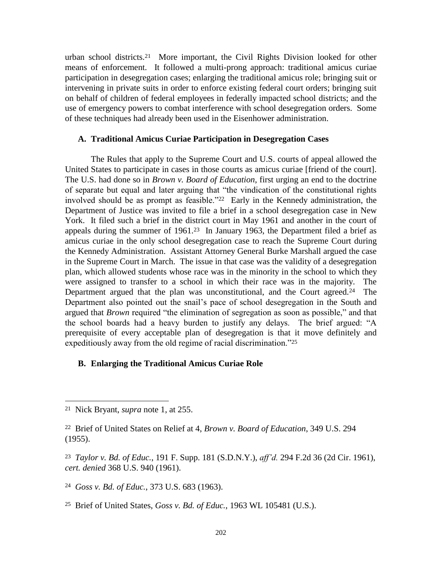urban school districts.21 More important, the Civil Rights Division looked for other means of enforcement. It followed a multi-prong approach: traditional amicus curiae participation in desegregation cases; enlarging the traditional amicus role; bringing suit or intervening in private suits in order to enforce existing federal court orders; bringing suit on behalf of children of federal employees in federally impacted school districts; and the use of emergency powers to combat interference with school desegregation orders. Some of these techniques had already been used in the Eisenhower administration.

#### **A. Traditional Amicus Curiae Participation in Desegregation Cases**

The Rules that apply to the Supreme Court and U.S. courts of appeal allowed the United States to participate in cases in those courts as amicus curiae [friend of the court]. The U.S. had done so in *Brown v. Board of Education*, first urging an end to the doctrine of separate but equal and later arguing that "the vindication of the constitutional rights involved should be as prompt as feasible."22 Early in the Kennedy administration, the Department of Justice was invited to file a brief in a school desegregation case in New York. It filed such a brief in the district court in May 1961 and another in the court of appeals during the summer of 1961.23 In January 1963, the Department filed a brief as amicus curiae in the only school desegregation case to reach the Supreme Court during the Kennedy Administration. Assistant Attorney General Burke Marshall argued the case in the Supreme Court in March. The issue in that case was the validity of a desegregation plan, which allowed students whose race was in the minority in the school to which they were assigned to transfer to a school in which their race was in the majority. The Department argued that the plan was unconstitutional, and the Court agreed.<sup>24</sup> The Department also pointed out the snail's pace of school desegregation in the South and argued that *Brown* required "the elimination of segregation as soon as possible," and that the school boards had a heavy burden to justify any delays. The brief argued: "A prerequisite of every acceptable plan of desegregation is that it move definitely and expeditiously away from the old regime of racial discrimination."<sup>25</sup>

### **B. Enlarging the Traditional Amicus Curiae Role**

 $\overline{a}$ 

<sup>24</sup> *Goss v. Bd. of Educ.*, 373 U.S. 683 (1963).

25 Brief of United States, *Goss v. Bd. of Educ.*, 1963 WL 105481 (U.S.).

<sup>21</sup> Nick Bryant, *supra* note 1, at 255.

<sup>22</sup> Brief of United States on Relief at 4, *Brown v. Board of Education*, 349 U.S. 294 (1955).

<sup>23</sup> *Taylor v. Bd. of Educ.*, 191 F. Supp. 181 (S.D.N.Y.), *aff'd.* 294 F.2d 36 (2d Cir. 1961), *cert. denied* 368 U.S. 940 (1961).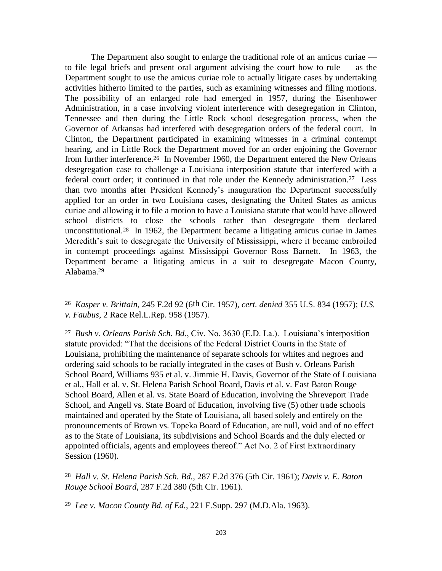The Department also sought to enlarge the traditional role of an amicus curiae to file legal briefs and present oral argument advising the court how to rule — as the Department sought to use the amicus curiae role to actually litigate cases by undertaking activities hitherto limited to the parties, such as examining witnesses and filing motions. The possibility of an enlarged role had emerged in 1957, during the Eisenhower Administration, in a case involving violent interference with desegregation in Clinton, Tennessee and then during the Little Rock school desegregation process, when the Governor of Arkansas had interfered with desegregation orders of the federal court. In Clinton, the Department participated in examining witnesses in a criminal contempt hearing, and in Little Rock the Department moved for an order enjoining the Governor from further interference.<sup>26</sup> In November 1960, the Department entered the New Orleans desegregation case to challenge a Louisiana interposition statute that interfered with a federal court order; it continued in that role under the Kennedy administration.<sup>27</sup> Less than two months after President Kennedy's inauguration the Department successfully applied for an order in two Louisiana cases, designating the United States as amicus curiae and allowing it to file a motion to have a Louisiana statute that would have allowed school districts to close the schools rather than desegregate them declared unconstitutional.28 In 1962, the Department became a litigating amicus curiae in James Meredith's suit to desegregate the University of Mississippi, where it became embroiled in contempt proceedings against Mississippi Governor Ross Barnett. In 1963, the Department became a litigating amicus in a suit to desegregate Macon County, Alabama.<sup>29</sup>

 $\overline{a}$ 

<sup>27</sup> *Bush v. Orleans Parish Sch. Bd.*, Civ. No. 3630 (E.D. La.). Louisiana's interposition statute provided: "That the decisions of the Federal District Courts in the State of Louisiana, prohibiting the maintenance of separate schools for whites and negroes and ordering said schools to be racially integrated in the cases of Bush v. Orleans Parish School Board, Williams 935 et al. v. Jimmie H. Davis, Governor of the State of Louisiana et al., Hall et al. v. St. Helena Parish School Board, Davis et al. v. East Baton Rouge School Board, Allen et al. vs. State Board of Education, involving the Shreveport Trade School, and Angell vs. State Board of Education, involving five (5) other trade schools maintained and operated by the State of Louisiana, all based solely and entirely on the pronouncements of Brown vs. Topeka Board of Education, are null, void and of no effect as to the State of Louisiana, its subdivisions and School Boards and the duly elected or appointed officials, agents and employees thereof." Act No. 2 of First Extraordinary Session (1960).

<sup>28</sup> *Hall v. St. Helena Parish Sch. Bd.*, 287 F.2d 376 (5th Cir. 1961); *Davis v. E. Baton Rouge School Board*, 287 F.2d 380 (5th Cir. 1961).

29 *Lee v. Macon County Bd. of Ed.*, 221 F.Supp. 297 (M.D.Ala. 1963).

<sup>26</sup> *Kasper v. Brittain*, 245 F.2d 92 (6th Cir. 1957), *cert. denied* 355 U.S. 834 (1957); *U.S. v. Faubus*, 2 Race Rel.L.Rep. 958 (1957).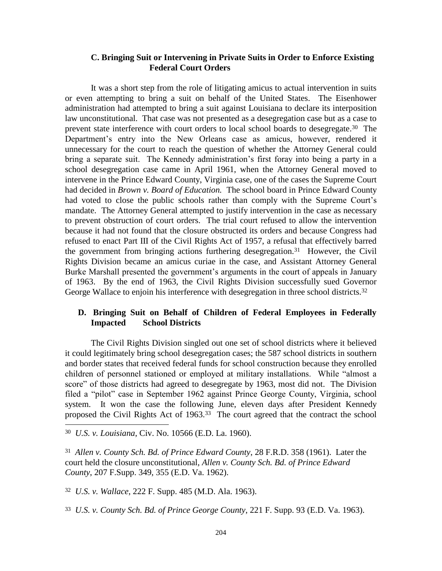### **C. Bringing Suit or Intervening in Private Suits in Order to Enforce Existing Federal Court Orders**

It was a short step from the role of litigating amicus to actual intervention in suits or even attempting to bring a suit on behalf of the United States. The Eisenhower administration had attempted to bring a suit against Louisiana to declare its interposition law unconstitutional. That case was not presented as a desegregation case but as a case to prevent state interference with court orders to local school boards to desegregate.30 The Department's entry into the New Orleans case as amicus, however, rendered it unnecessary for the court to reach the question of whether the Attorney General could bring a separate suit. The Kennedy administration's first foray into being a party in a school desegregation case came in April 1961, when the Attorney General moved to intervene in the Prince Edward County, Virginia case, one of the cases the Supreme Court had decided in *Brown v. Board of Education.* The school board in Prince Edward County had voted to close the public schools rather than comply with the Supreme Court's mandate. The Attorney General attempted to justify intervention in the case as necessary to prevent obstruction of court orders. The trial court refused to allow the intervention because it had not found that the closure obstructed its orders and because Congress had refused to enact Part III of the Civil Rights Act of 1957, a refusal that effectively barred the government from bringing actions furthering desegregation.31 However, the Civil Rights Division became an amicus curiae in the case, and Assistant Attorney General Burke Marshall presented the government's arguments in the court of appeals in January of 1963. By the end of 1963, the Civil Rights Division successfully sued Governor George Wallace to enjoin his interference with desegregation in three school districts.<sup>32</sup>

## **D. Bringing Suit on Behalf of Children of Federal Employees in Federally Impacted School Districts**

The Civil Rights Division singled out one set of school districts where it believed it could legitimately bring school desegregation cases; the 587 school districts in southern and border states that received federal funds for school construction because they enrolled children of personnel stationed or employed at military installations. While "almost a score" of those districts had agreed to desegregate by 1963, most did not. The Division filed a "pilot" case in September 1962 against Prince George County, Virginia, school system. It won the case the following June, eleven days after President Kennedy proposed the Civil Rights Act of 1963.33 The court agreed that the contract the school

l

<sup>32</sup> *U.S. v. Wallace*, 222 F. Supp. 485 (M.D. Ala. 1963).

33 *U.S. v. County Sch. Bd. of Prince George County*, 221 F. Supp. 93 (E.D. Va. 1963).

<sup>30</sup> *U.S. v. Louisiana*, Civ. No. 10566 (E.D. La. 1960).

<sup>31</sup> *Allen v. County Sch. Bd. of Prince Edward County*, 28 F.R.D. 358 (1961). Later the court held the closure unconstitutional, *Allen v. County Sch. Bd. of Prince Edward County*, 207 F.Supp. 349, 355 (E.D. Va. 1962).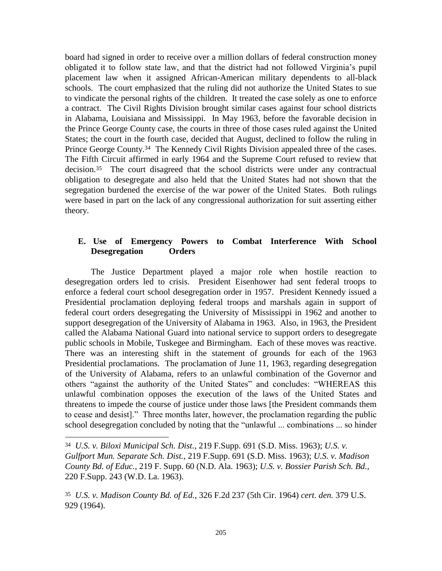board had signed in order to receive over a million dollars of federal construction money obligated it to follow state law, and that the district had not followed Virginia's pupil placement law when it assigned African-American military dependents to all-black schools. The court emphasized that the ruling did not authorize the United States to sue to vindicate the personal rights of the children. It treated the case solely as one to enforce a contract. The Civil Rights Division brought similar cases against four school districts in Alabama, Louisiana and Mississippi. In May 1963, before the favorable decision in the Prince George County case, the courts in three of those cases ruled against the United States; the court in the fourth case, decided that August, declined to follow the ruling in Prince George County.<sup>34</sup> The Kennedy Civil Rights Division appealed three of the cases. The Fifth Circuit affirmed in early 1964 and the Supreme Court refused to review that decision.35 The court disagreed that the school districts were under any contractual obligation to desegregate and also held that the United States had not shown that the segregation burdened the exercise of the war power of the United States. Both rulings were based in part on the lack of any congressional authorization for suit asserting either theory.

## **E. Use of Emergency Powers to Combat Interference With School Desegregation Orders**

The Justice Department played a major role when hostile reaction to desegregation orders led to crisis. President Eisenhower had sent federal troops to enforce a federal court school desegregation order in 1957. President Kennedy issued a Presidential proclamation deploying federal troops and marshals again in support of federal court orders desegregating the University of Mississippi in 1962 and another to support desegregation of the University of Alabama in 1963. Also, in 1963, the President called the Alabama National Guard into national service to support orders to desegregate public schools in Mobile, Tuskegee and Birmingham. Each of these moves was reactive. There was an interesting shift in the statement of grounds for each of the 1963 Presidential proclamations. The proclamation of June 11, 1963, regarding desegregation of the University of Alabama, refers to an unlawful combination of the Governor and others "against the authority of the United States" and concludes: "WHEREAS this unlawful combination opposes the execution of the laws of the United States and threatens to impede the course of justice under those laws [the President commands them to cease and desist]." Three months later, however, the proclamation regarding the public school desegregation concluded by noting that the "unlawful ... combinations ... so hinder

<sup>34</sup> *U.S. v. Biloxi Municipal Sch. Dist.*, 219 F.Supp. 691 (S.D. Miss. 1963); *U.S. v. Gulfport Mun. Separate Sch. Dist.*, 219 F.Supp. 691 (S.D. Miss. 1963); *U.S. v. Madison County Bd. of Educ.*, 219 F. Supp. 60 (N.D. Ala. 1963); *U.S. v. Bossier Parish Sch. Bd.*, 220 F.Supp. 243 (W.D. La. 1963).

<sup>35</sup> *U.S. v. Madison County Bd. of Ed.*, 326 F.2d 237 (5th Cir. 1964) *cert. den.* 379 U.S. 929 (1964).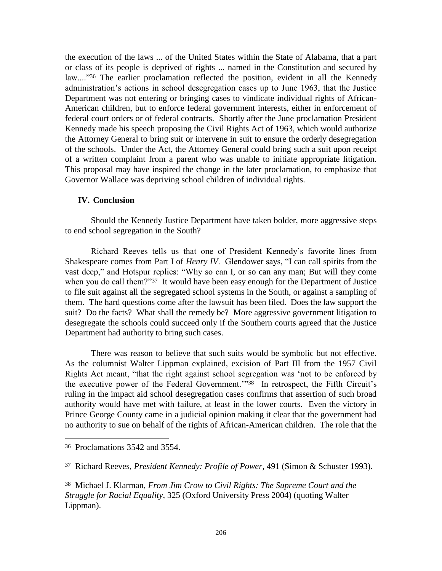the execution of the laws ... of the United States within the State of Alabama, that a part or class of its people is deprived of rights ... named in the Constitution and secured by law...."<sup>36</sup> The earlier proclamation reflected the position, evident in all the Kennedy administration's actions in school desegregation cases up to June 1963, that the Justice Department was not entering or bringing cases to vindicate individual rights of African-American children, but to enforce federal government interests, either in enforcement of federal court orders or of federal contracts. Shortly after the June proclamation President Kennedy made his speech proposing the Civil Rights Act of 1963, which would authorize the Attorney General to bring suit or intervene in suit to ensure the orderly desegregation of the schools. Under the Act, the Attorney General could bring such a suit upon receipt of a written complaint from a parent who was unable to initiate appropriate litigation. This proposal may have inspired the change in the later proclamation, to emphasize that Governor Wallace was depriving school children of individual rights.

#### **IV. Conclusion**

Should the Kennedy Justice Department have taken bolder, more aggressive steps to end school segregation in the South?

Richard Reeves tells us that one of President Kennedy's favorite lines from Shakespeare comes from Part I of *Henry IV*. Glendower says, "I can call spirits from the vast deep," and Hotspur replies: "Why so can I, or so can any man; But will they come when you do call them?"<sup>37</sup> It would have been easy enough for the Department of Justice to file suit against all the segregated school systems in the South, or against a sampling of them. The hard questions come after the lawsuit has been filed. Does the law support the suit? Do the facts? What shall the remedy be? More aggressive government litigation to desegregate the schools could succeed only if the Southern courts agreed that the Justice Department had authority to bring such cases.

There was reason to believe that such suits would be symbolic but not effective. As the columnist Walter Lippman explained, excision of Part III from the 1957 Civil Rights Act meant, "that the right against school segregation was 'not to be enforced by the executive power of the Federal Government.'"38 In retrospect, the Fifth Circuit's ruling in the impact aid school desegregation cases confirms that assertion of such broad authority would have met with failure, at least in the lower courts. Even the victory in Prince George County came in a judicial opinion making it clear that the government had no authority to sue on behalf of the rights of African-American children. The role that the

<sup>36</sup> Proclamations 3542 and 3554.

<sup>37</sup> Richard Reeves, *President Kennedy: Profile of Power*, 491 (Simon & Schuster 1993).

<sup>38</sup> Michael J. Klarman, *From Jim Crow to Civil Rights: The Supreme Court and the Struggle for Racial Equality*, 325 (Oxford University Press 2004) (quoting Walter Lippman).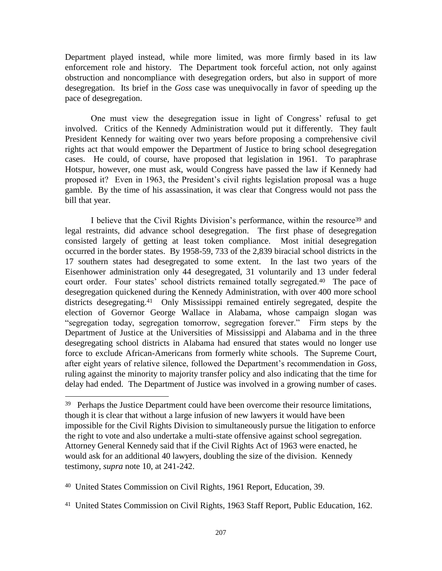Department played instead, while more limited, was more firmly based in its law enforcement role and history. The Department took forceful action, not only against obstruction and noncompliance with desegregation orders, but also in support of more desegregation. Its brief in the *Goss* case was unequivocally in favor of speeding up the pace of desegregation.

One must view the desegregation issue in light of Congress' refusal to get involved. Critics of the Kennedy Administration would put it differently. They fault President Kennedy for waiting over two years before proposing a comprehensive civil rights act that would empower the Department of Justice to bring school desegregation cases. He could, of course, have proposed that legislation in 1961. To paraphrase Hotspur, however, one must ask, would Congress have passed the law if Kennedy had proposed it? Even in 1963, the President's civil rights legislation proposal was a huge gamble. By the time of his assassination, it was clear that Congress would not pass the bill that year.

I believe that the Civil Rights Division's performance, within the resource<sup>39</sup> and legal restraints, did advance school desegregation. The first phase of desegregation consisted largely of getting at least token compliance. Most initial desegregation occurred in the border states. By 1958-59, 733 of the 2,839 biracial school districts in the 17 southern states had desegregated to some extent. In the last two years of the Eisenhower administration only 44 desegregated, 31 voluntarily and 13 under federal court order. Four states' school districts remained totally segregated.<sup>40</sup> The pace of desegregation quickened during the Kennedy Administration, with over 400 more school districts desegregating.41 Only Mississippi remained entirely segregated, despite the election of Governor George Wallace in Alabama, whose campaign slogan was "segregation today, segregation tomorrow, segregation forever." Firm steps by the Department of Justice at the Universities of Mississippi and Alabama and in the three desegregating school districts in Alabama had ensured that states would no longer use force to exclude African-Americans from formerly white schools. The Supreme Court, after eight years of relative silence, followed the Department's recommendation in *Goss*, ruling against the minority to majority transfer policy and also indicating that the time for delay had ended. The Department of Justice was involved in a growing number of cases.

 $\overline{a}$ 

41 United States Commission on Civil Rights, 1963 Staff Report, Public Education, 162.

<sup>&</sup>lt;sup>39</sup> Perhaps the Justice Department could have been overcome their resource limitations, though it is clear that without a large infusion of new lawyers it would have been impossible for the Civil Rights Division to simultaneously pursue the litigation to enforce the right to vote and also undertake a multi-state offensive against school segregation. Attorney General Kennedy said that if the Civil Rights Act of 1963 were enacted, he would ask for an additional 40 lawyers, doubling the size of the division. Kennedy testimony, *supra* note 10, at 241-242.

<sup>40</sup> United States Commission on Civil Rights, 1961 Report, Education, 39.